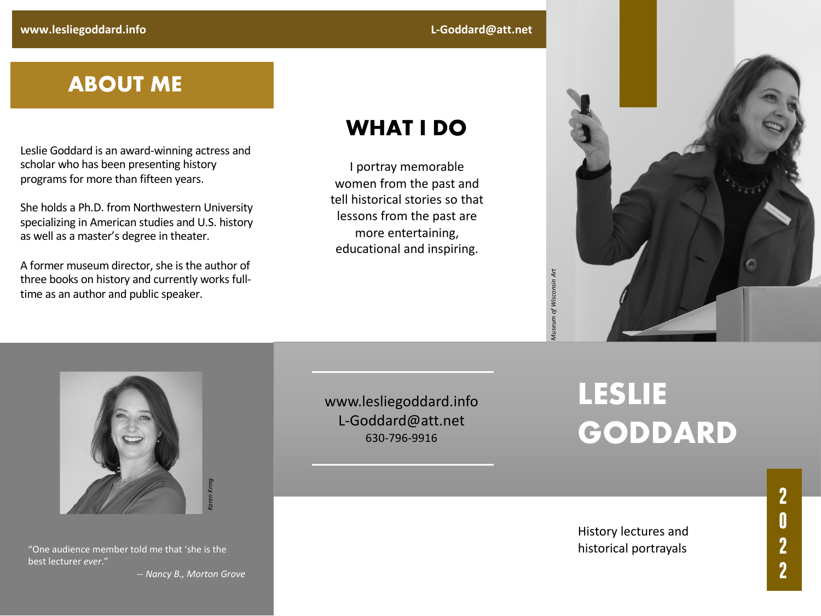## **ABOUT ME**

Leslie Goddard is an award-winning actress and scholar who has been presenting history programs for more than fifteen years.

She holds a Ph.D. from Northwestern University specializing in American studies and U.S. history as well as a master's degree in theater.

A former museum director, she is the author of three books on history and currently works fulltime as an author and public speaker.

## **WHAT I DO**

I portray memorable women from the past and tell historical stories so that lessons from the past are more entertaining, educational and inspiring.





"One audience member told me that 'she is the best lecturer *ever*."

*-- Nancy B., Morton Grove*

www.lesliegoddard.info L-Goddard@att.net 630-796-9916

# **LESLIE GODDARD**

### History lectures and historical portrayals